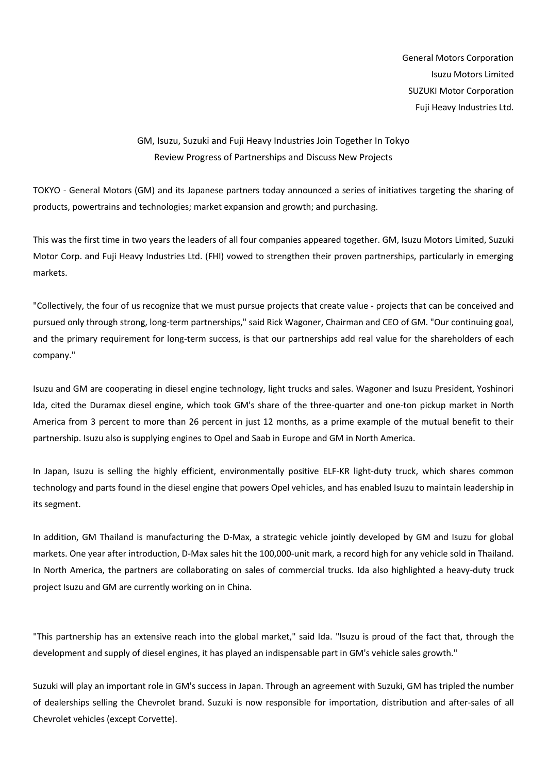General Motors Corporation Isuzu Motors Limited SUZUKI Motor Corporation Fuji Heavy Industries Ltd.

## GM, Isuzu, Suzuki and Fuji Heavy Industries Join Together In Tokyo Review Progress of Partnerships and Discuss New Projects

TOKYO - General Motors (GM) and its Japanese partners today announced a series of initiatives targeting the sharing of products, powertrains and technologies; market expansion and growth; and purchasing.

This was the first time in two years the leaders of all four companies appeared together. GM, Isuzu Motors Limited, Suzuki Motor Corp. and Fuji Heavy Industries Ltd. (FHI) vowed to strengthen their proven partnerships, particularly in emerging markets.

"Collectively, the four of us recognize that we must pursue projects that create value - projects that can be conceived and pursued only through strong, long-term partnerships," said Rick Wagoner, Chairman and CEO of GM. "Our continuing goal, and the primary requirement for long-term success, is that our partnerships add real value for the shareholders of each company."

Isuzu and GM are cooperating in diesel engine technology, light trucks and sales. Wagoner and Isuzu President, Yoshinori Ida, cited the Duramax diesel engine, which took GM's share of the three-quarter and one-ton pickup market in North America from 3 percent to more than 26 percent in just 12 months, as a prime example of the mutual benefit to their partnership. Isuzu also is supplying engines to Opel and Saab in Europe and GM in North America.

In Japan, Isuzu is selling the highly efficient, environmentally positive ELF-KR light-duty truck, which shares common technology and parts found in the diesel engine that powers Opel vehicles, and has enabled Isuzu to maintain leadership in its segment.

In addition, GM Thailand is manufacturing the D-Max, a strategic vehicle jointly developed by GM and Isuzu for global markets. One year after introduction, D-Max sales hit the 100,000-unit mark, a record high for any vehicle sold in Thailand. In North America, the partners are collaborating on sales of commercial trucks. Ida also highlighted a heavy-duty truck project Isuzu and GM are currently working on in China.

"This partnership has an extensive reach into the global market," said Ida. "Isuzu is proud of the fact that, through the development and supply of diesel engines, it has played an indispensable part in GM's vehicle sales growth."

Suzuki will play an important role in GM's success in Japan. Through an agreement with Suzuki, GM has tripled the number of dealerships selling the Chevrolet brand. Suzuki is now responsible for importation, distribution and after-sales of all Chevrolet vehicles (except Corvette).